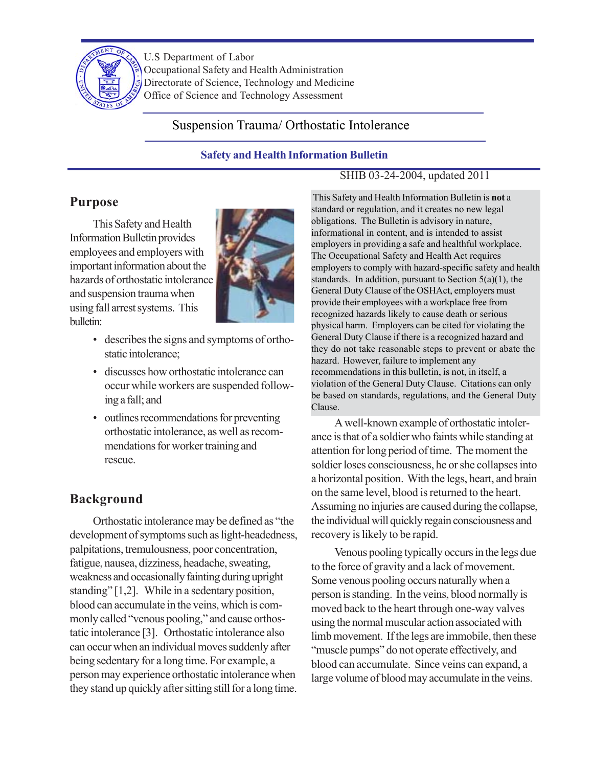

U.S Department of Labor Occupational Safety and Health Administration Directorate of Science, Technology and Medicine Office of Science and Technology Assessment

# Suspension Trauma/ Orthostatic Intolerance

### **Safety and Health Information Bulletin**

# SHIB 03-24-2004, updated 2011

# **Purpose**

This Safety and Health Information Bulletin provides employees and employers with important information about the hazards of orthostatic intolerance and suspension trauma when using fall arrest systems. This bulletin:



- describes the signs and symptoms of orthostatic intolerance;
- discusses how orthostatic intolerance can occur while workers are suspended following a fall; and
- outlines recommendations for preventing orthostatic intolerance, as well as recommendations for worker training and rescue.

# **Background**

Orthostatic intolerance may be defined as "the development of symptoms such as light-headedness, palpitations, tremulousness, poor concentration, fatigue, nausea, dizziness, headache, sweating, weakness and occasionally fainting during upright standing" [1,2]. While in a sedentary position, blood can accumulate in the veins, which is commonly called "venous pooling," and cause orthostatic intolerance [3]. Orthostatic intolerance also can occur when an individual moves suddenly after being sedentary for a long time. For example, a person may experience orthostatic intolerance when they stand up quickly after sitting still for a long time.

 This Safety and Health Information Bulletin is **not** a standard or regulation, and it creates no new legal obligations. The Bulletin is advisory in nature, informational in content, and is intended to assist employers in providing a safe and healthful workplace. The Occupational Safety and Health Act requires employers to comply with hazard-specific safety and health standards. In addition, pursuant to Section  $5(a)(1)$ , the General Duty Clause of the OSHAct, employers must provide their employees with a workplace free from recognized hazards likely to cause death or serious physical harm. Employers can be cited for violating the General Duty Clause if there is a recognized hazard and they do not take reasonable steps to prevent or abate the hazard. However, failure to implement any recommendations in this bulletin, is not, in itself, a violation of the General Duty Clause. Citations can only be based on standards, regulations, and the General Duty Clause.

A well-known example of orthostatic intolerance is that of a soldier who faints while standing at attention for long period of time. The moment the soldier loses consciousness, he or she collapses into a horizontal position. With the legs, heart, and brain on the same level, blood is returned to the heart. Assuming no injuries are caused during the collapse, the individual will quickly regain consciousness and recovery is likely to be rapid.

Venous pooling typically occurs in the legs due to the force of gravity and a lack of movement. Some venous pooling occurs naturally when a person is standing. In the veins, blood normally is moved back to the heart through one-way valves using the normal muscular action associated with limb movement. If the legs are immobile, then these "muscle pumps" do not operate effectively, and blood can accumulate. Since veins can expand, a large volume of blood may accumulate in the veins.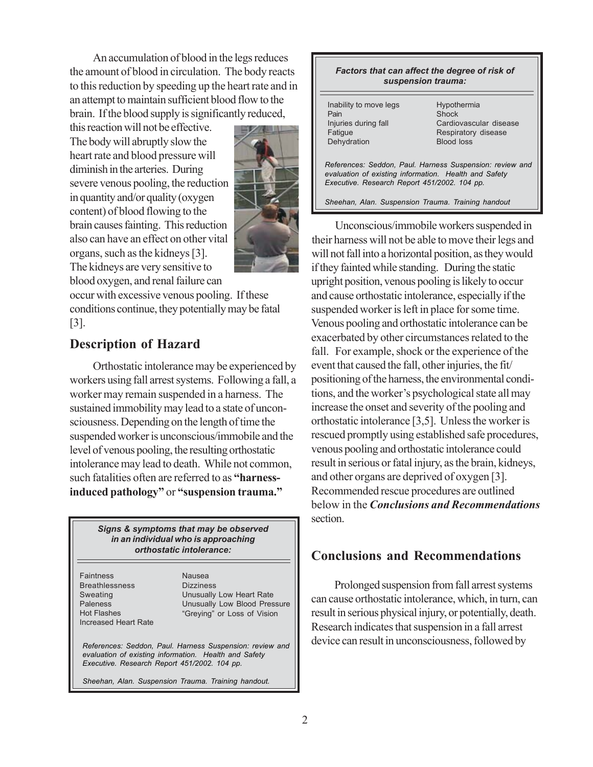An accumulation of blood in the legs reduces the amount of blood in circulation. The body reacts to this reduction by speeding up the heart rate and in an attempt to maintain sufficient blood flow to the brain. If the blood supply is significantly reduced,

this reaction will not be effective. The body will abruptly slow the heart rate and blood pressure will diminish in the arteries. During severe venous pooling, the reduction in quantity and/or quality (oxygen content) of blood flowing to the brain causes fainting. This reduction also can have an effect on other vital organs, such as the kidneys [3]. The kidneys are very sensitive to blood oxygen, and renal failure can



occur with excessive venous pooling. If these conditions continue, they potentially may be fatal [3].

### **Description of Hazard**

Orthostatic intolerance may be experienced by workers using fall arrest systems. Following a fall, a worker may remain suspended in a harness. The sustained immobility may lead to a state of unconsciousness. Depending on the length of time the suspended worker is unconscious/immobile and the level of venous pooling, the resulting orthostatic intolerance may lead to death. While not common, such fatalities often are referred to as **"harnessinduced pathology"** or **"suspension trauma."**

#### *Signs & symptoms that may be observed in an individual who is approaching orthostatic intolerance:*

Faintness Breathlessness Sweating Paleness Hot Flashes Increased Heart Rate Nausea Dizziness Unusually Low Heart Rate Unusually Low Blood Pressure "Greying" or Loss of Vision

*References: Seddon, Paul. Harness Suspension: review and evaluation of existing information. Health and Safety Executive. Research Report 451/2002. 104 pp.*

*Sheehan, Alan. Suspension Trauma. Training handout.*

| Factors that can affect the degree of risk of<br>suspension trauma:                                                                                               |                                                                                            |
|-------------------------------------------------------------------------------------------------------------------------------------------------------------------|--------------------------------------------------------------------------------------------|
| Inability to move legs<br>Pain<br>Injuries during fall<br>Fatique<br>Dehydration                                                                                  | Hypothermia<br>Shock<br>Cardiovascular disease<br>Respiratory disease<br><b>Blood loss</b> |
| References: Seddon, Paul. Harness Suspension: review and<br>evaluation of existing information. Health and Safety<br>Executive. Research Report 451/2002. 104 pp. |                                                                                            |
| Sheehan, Alan. Suspension Trauma. Training handout                                                                                                                |                                                                                            |

Unconscious/immobile workers suspended in their harness will not be able to move their legs and will not fall into a horizontal position, as they would if they fainted while standing. During the static upright position, venous pooling is likely to occur and cause orthostatic intolerance, especially if the suspended worker is left in place for some time. Venous pooling and orthostatic intolerance can be exacerbated by other circumstances related to the fall. For example, shock or the experience of the event that caused the fall, other injuries, the fit/ positioning of the harness, the environmental conditions, and the worker's psychological state all may increase the onset and severity of the pooling and orthostatic intolerance [3,5]. Unless the worker is rescued promptly using established safe procedures, venous pooling and orthostatic intolerance could result in serious or fatal injury, as the brain, kidneys, and other organs are deprived of oxygen [3]. Recommended rescue procedures are outlined below in the *Conclusions and Recommendations* section.

### **Conclusions and Recommendations**

Prolonged suspension from fall arrest systems can cause orthostatic intolerance, which, in turn, can result in serious physical injury, or potentially, death. Research indicates that suspension in a fall arrest device can result in unconsciousness, followed by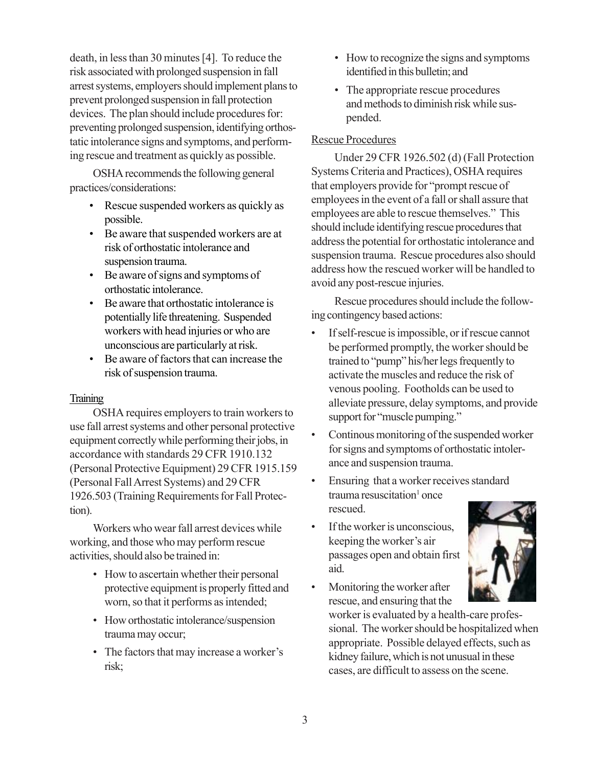death, in less than 30 minutes [4]. To reduce the risk associated with prolonged suspension in fall arrest systems, employers should implement plans to prevent prolonged suspension in fall protection devices. The plan should include procedures for: preventing prolonged suspension, identifying orthostatic intolerance signs and symptoms, and performing rescue and treatment as quickly as possible.

OSHA recommends the following general practices/considerations:

- Rescue suspended workers as quickly as possible.
- Be aware that suspended workers are at risk of orthostatic intolerance and suspension trauma.
- Be aware of signs and symptoms of orthostatic intolerance.
- Be aware that orthostatic intolerance is potentially life threatening. Suspended workers with head injuries or who are unconscious are particularly at risk.
- Be aware of factors that can increase the risk of suspension trauma.

### **Training**

OSHA requires employers to train workers to use fall arrest systems and other personal protective equipment correctly while performing their jobs, in accordance with standards 29 CFR 1910.132 (Personal Protective Equipment) 29 CFR 1915.159 (Personal Fall Arrest Systems) and 29 CFR 1926.503 (Training Requirements for Fall Protection).

Workers who wear fall arrest devices while working, and those who may perform rescue activities, should also be trained in:

- How to ascertain whether their personal protective equipment is properly fitted and worn, so that it performs as intended;
- How orthostatic intolerance/suspension trauma may occur;
- The factors that may increase a worker's risk;
- How to recognize the signs and symptoms identified in this bulletin; and
- The appropriate rescue procedures and methods to diminish risk while suspended.

### Rescue Procedures

Under 29 CFR 1926.502 (d) (Fall Protection Systems Criteria and Practices), OSHA requires that employers provide for "prompt rescue of employees in the event of a fall or shall assure that employees are able to rescue themselves." This should include identifying rescue procedures that address the potential for orthostatic intolerance and suspension trauma. Rescue procedures also should address how the rescued worker will be handled to avoid any post-rescue injuries.

Rescue procedures should include the following contingency based actions:

- If self-rescue is impossible, or if rescue cannot be performed promptly, the worker should be trained to "pump" his/her legs frequently to activate the muscles and reduce the risk of venous pooling. Footholds can be used to alleviate pressure, delay symptoms, and provide support for "muscle pumping."
- Continous monitoring of the suspended worker for signs and symptoms of orthostatic intolerance and suspension trauma.
- Ensuring that a worker receives standard trauma resuscitation<sup>1</sup> once rescued.
- If the worker is unconscious, keeping the worker's air passages open and obtain first aid.
- Monitoring the worker after rescue, and ensuring that the

worker is evaluated by a health-care professional. The worker should be hospitalized when appropriate. Possible delayed effects, such as kidney failure, which is not unusual in these cases, are difficult to assess on the scene.